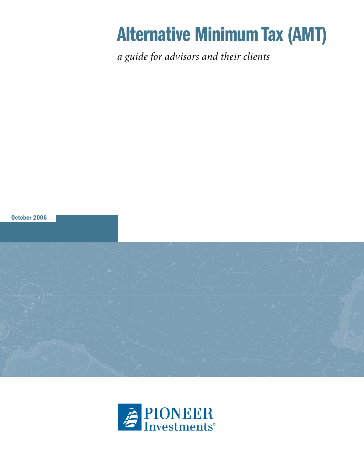# Alternative Minimum Tax (AMT)

*a guide for advisors and their clients*



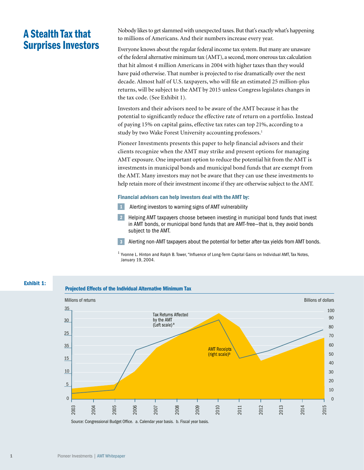# A Stealth Tax that Surprises Investors

Nobody likes to get slammed with unexpected taxes. But that's exactly what's happening to millions of Americans. And their numbers increase every year.

Everyone knows about the regular federal income tax system. But many are unaware of the federal alternative minimum tax (AMT), a second, more onerous tax calculation that hit almost 4 million Americans in 2004 with higher taxes than they would have paid otherwise. That number is projected to rise dramatically over the next decade. Almost half of U.S. taxpayers, who will file an estimated 25 million-plus returns, will be subject to the AMT by 2015 unless Congress legislates changes in the tax code. (See Exhibit 1).

Investors and their advisors need to be aware of the AMT because it has the potential to significantly reduce the effective rate of return on a portfolio. Instead of paying 15% on capital gains, effective tax rates can top 21%, according to a study by two Wake Forest University accounting professors.<sup>1</sup>

Pioneer Investments presents this paper to help financial advisors and their clients recognize when the AMT may strike and present options for managing AMT exposure. One important option to reduce the potential hit from the AMT is investments in municipal bonds and municipal bond funds that are exempt from the AMT. Many investors may not be aware that they can use these investments to help retain more of their investment income if they are otherwise subject to the AMT.

#### Financial advisors can help investors deal with the AMT by:

- 1 Alerting investors to warning signs of AMT vulnerability
- 2 Helping AMT taxpayers choose between investing in municipal bond funds that invest in AMT bonds, or municipal bond funds that are AMT-free—that is, they avoid bonds subject to the AMT.

3 Alerting non-AMT taxpayers about the potential for better after-tax yields from AMT bonds.

<sup>1</sup> Yvonne L. Hinton and Ralph B. Tower, "Influence of Long-Term Capital Gains on Individual AMT, Tax Notes, January 19, 2004.



Source: Congressional Budget Office. a. Calendar year basis. b. Fiscal year basis.

Exhibit 1: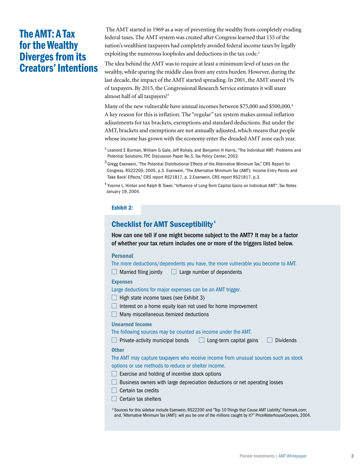## The AMT: A Tax for the Wealthy Diverges from its Creators' Intentions

 The AMT started in 1969 as a way of preventing the wealthy from completely evading federal taxes. The AMT system was created after Congress learned that 155 of the nation's wealthiest taxpayers had completely avoided federal income taxes by legally exploiting the numerous loopholes and deductions in the tax code.<sup>2</sup>

The idea behind the AMT was to require at least a minimum level of taxes on the wealthy, while sparing the middle class from any extra burden. However, during the last decade, the impact of the AMT started spreading. In 2001, the AMT snared 1% of taxpayers. By 2015, the Congressional Research Service estimates it will snare almost half of all taxpayers!3

Many of the new vulnerable have annual incomes between \$75,000 and \$500,000.<sup>4</sup> A key reason for this is inflation. The "regular" tax system makes annual inflation adjustments for tax brackets, exemptions and standard deductions. But under the AMT, brackets and exemptions are not annually adjusted, which means that people whose income has grown with the economy enter the dreaded AMT zone each year.

<sup>2</sup> Leanord E Burman, William G Gale, Jeff Rohaly, and Benjamin H Harris, "The Individual AMT: Problems and Potential Solutions, TPC Discussion Paper No.5, Tax Policy Center, 2002.

<sup>3</sup> Gregg Esenwein, "The Potential Distributional Effects of the Alternative Minimum Tax," CRS Report for Congress, RS22200, 2005, p.3. Esenwein, "The Alternative Minimum Tax (AMT): Income Entry Points and 'Take Back' Effects," CRS report RS21817, p. 2.Esenwein, CRS report RS21817, p.3.

<sup>4</sup> Yvonne L. Hinton and Ralph B. Tower, "Influence of Long-Term Capital Gains on Individual AMT", Tax Notes January 19, 2004.

#### Exhibit 2:

## Checklist for AMT Susceptibility<sup>5</sup>

How can one tell if one might become subject to the AMT? It may be a factor of whether your tax return includes one or more of the triggers listed below.

#### Personal

The more deductions/dependents you have, the more vulnerable you become to AMT.  $\Box$  Married filing jointly  $\Box$  Large number of dependents

#### Expenses

Large deductions for major expenses can be an AMT trigger.

- $\Box$  High state income taxes (see Exhibit 3)
- $\Box$  Interest on a home equity loan not used for home improvement
- **Many miscellaneous itemized deductions**

#### Unearned Income

The following sources may be counted as income under the AMT.

Private-activity municipal bonds  $\Box$  Long-term capital gains  $\Box$  Dividends

#### **Other**

The AMT may capture taxpayers who receive income from unusual sources such as stock options or use methods to reduce or shelter income.

- $\Box$  Exercise and holding of incentive stock options
- **Business owners with large depreciation deductions or net operating losses**
- $\Box$  Certain tax credits
- $\Box$  Certain tax shelters

5 Sources for this sidebar include Esenwein, RS22200 and "Top 10 Things that Cause AMT Liability," Fairmark.com; and, "Alternative Minimum Tax (AMT): will you be one of the millions caught by it?" PriceWaterhouseCoopers, 2004.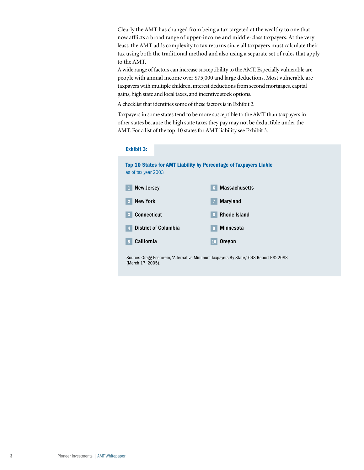Clearly the AMT has changed from being a tax targeted at the wealthy to one that now afflicts a broad range of upper-income and middle-class taxpayers. At the very least, the AMT adds complexity to tax returns since all taxpayers must calculate their tax using both the traditional method and also using a separate set of rules that apply to the AMT.

A wide range of factors can increase susceptibility to the AMT. Especially vulnerable are people with annual income over \$75,000 and large deductions. Most vulnerable are taxpayers with multiple children, interest deductions from second mortgages, capital gains, high state and local taxes, and incentive stock options.

A checklist that identifies some of these factors is in Exhibit 2.

Taxpayers in some states tend to be more susceptible to the AMT than taxpayers in other states because the high state taxes they pay may not be deductible under the AMT. For a list of the top-10 states for AMT liability see Exhibit 3.

#### Exhibit 3:

Top 10 States for AMT Liability by Percentage of Taxpayers Liable as of tax year 2003



Source: Gregg Esenwein, "Alternative Minimum Taxpayers By State," CRS Report RS22083 (March 17, 2005).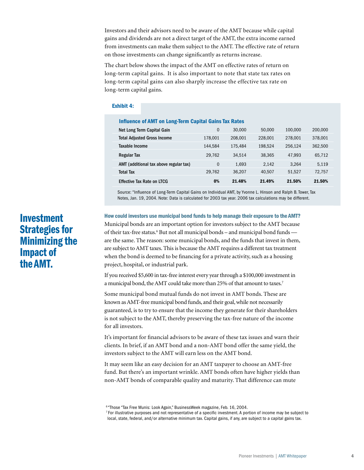Investors and their advisors need to be aware of the AMT because while capital gains and dividends are not a direct target of the AMT, the extra income earned from investments can make them subject to the AMT. The effective rate of return on those investments can change significantly as returns increase.

The chart below shows the impact of the AMT on effective rates of return on long-term capital gains. It is also important to note that state tax rates on long-term capital gains can also sharply increase the effective tax rate on long-term capital gains.

#### Exhibit 4:

#### Influence of AMT on Long-Term Capital Gains Tax Rates

| Net Long Term Capital Gain             | 0       | 30,000  | 50,000  | 100,000 | 200,000 |
|----------------------------------------|---------|---------|---------|---------|---------|
| <b>Total Adjusted Gross Income</b>     | 178.001 | 208.001 | 228,001 | 278.001 | 378,001 |
| Taxable Income                         | 144.584 | 175.484 | 198.524 | 256.124 | 362.500 |
| <b>Regular Tax</b>                     | 29.762  | 34.514  | 38.365  | 47.993  | 65,712  |
| AMT (additional tax above regular tax) | 0       | 1.693   | 2.142   | 3.264   | 5.119   |
| <b>Total Tax</b>                       | 29.762  | 36.207  | 40.507  | 51.527  | 72.757  |
| <b>Effective Tax Rate on LTCG</b>      | 0%      | 21.48%  | 21.49%  | 21.50%  | 21.50%  |

Source: "Influence of Long-Term Capital Gains on Individual AMT, by Yvonne L. Hinson and Ralph B. Tower, Tax Notes, Jan. 19, 2004. Note: Data is calculated for 2003 tax year. 2006 tax calculations may be different.

How could investors use municipal bond funds to help manage their exposure to the AMT? Municipal bonds are an important option for investors subject to the AMT because of their tax-free status.<sup>6</sup> But not all municipal bonds - and municipal bond funds are the same. The reason: some municipal bonds, and the funds that invest in them, are subject to AMT taxes. This is because the AMT requires a different tax treatment when the bond is deemed to be financing for a private activity, such as a housing project, hospital, or industrial park.

If you received \$5,600 in tax-free interest every year through a \$100,000 investment in a municipal bond, the AMT could take more than 25% of that amount to taxes.7

Some municipal bond mutual funds do not invest in AMT bonds. These are known as AMT-free municipal bond funds, and their goal, while not necessarily guaranteed, is to try to ensure that the income they generate for their shareholders is not subject to the AMT, thereby preserving the tax-free nature of the income for all investors.

It's important for financial advisors to be aware of these tax issues and warn their clients. In brief, if an AMT bond and a non-AMT bond offer the same yield, the investors subject to the AMT will earn less on the AMT bond.

It may seem like an easy decision for an AMT taxpayer to choose an AMT-free fund. But there's an important wrinkle. AMT bonds often have higher yields than non-AMT bonds of comparable quality and maturity. That difference can mute

# Investment Strategies for Minimizing the Impact of the AMT.

<sup>&</sup>lt;sup>6</sup> "Those "Tax Free Munis: Look Again," BusinessWeek magazine, Feb. 16, 2004.

<sup>7</sup> For illustrative purposes and not representative of a specific investment. A portion of income may be subject to local, state, federal, and/or alternative minimum tax. Capital gains, if any, are subject to a capital gains tax.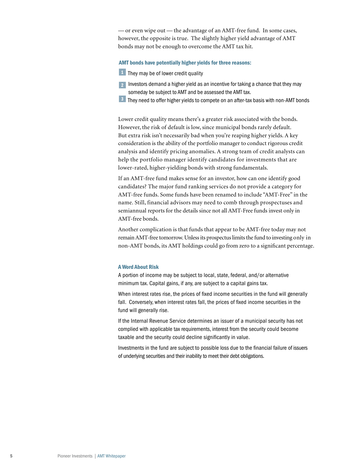— or even wipe out — the advantage of an AMT-free fund. In some cases, however, the opposite is true. The slightly higher yield advantage of AMT bonds may not be enough to overcome the AMT tax hit.

#### AMT bonds have potentially higher yields for three reasons:

- **1** They may be of lower credit quality
- **2** Investors demand a higher yield as an incentive for taking a chance that they may someday be subject to AMT and be assessed the AMT tax.
- 3 They need to offer higher yields to compete on an after-tax basis with non-AMT bonds

Lower credit quality means there's a greater risk associated with the bonds. However, the risk of default is low, since municipal bonds rarely default. But extra risk isn't necessarily bad when you're reaping higher yields. A key consideration is the ability of the portfolio manager to conduct rigorous credit analysis and identify pricing anomalies. A strong team of credit analysts can help the portfolio manager identify candidates for investments that are lower-rated, higher-yielding bonds with strong fundamentals.

If an AMT-free fund makes sense for an investor, how can one identify good candidates? The major fund ranking services do not provide a category for AMT-free funds. Some funds have been renamed to include "AMT-Free" in the name. Still, financial advisors may need to comb through prospectuses and semiannual reports for the details since not all AMT-Free funds invest only in AMT-free bonds.

Another complication is that funds that appear to be AMT-free today may not remain AMT-free tomorrow. Unless its prospectus limits the fund to investing only in non-AMT bonds, its AMT holdings could go from zero to a significant percentage.

#### A Word About Risk

A portion of income may be subject to local, state, federal, and/or alternative minimum tax. Capital gains, if any, are subject to a capital gains tax.

When interest rates rise, the prices of fixed income securities in the fund will generally fall. Conversely, when interest rates fall, the prices of fixed income securities in the fund will generally rise.

If the Internal Revenue Service determines an issuer of a municipal security has not complied with applicable tax requirements, interest from the security could become taxable and the security could decline significantly in value.

Investments in the fund are subject to possible loss due to the financial failure of issuers of underlying securities and their inability to meet their debt obligations.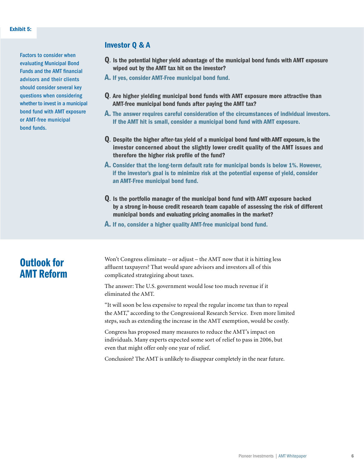Factors to consider when evaluating Municipal Bond Funds and the AMT financial advisors and their clients should consider several key questions when considering whether to invest in a municipal bond fund with AMT exposure or AMT-free municipal bond funds.

### Investor Q & A

- Q*.* Is the potential higher yield advantage of the municipal bond funds with AMT exposure wiped out by the AMT tax hit on the investor?
- A. If yes, consider AMT-Free municipal bond fund.
- Q*.* Are higher yielding municipal bond funds with AMT exposure more attractive than AMT-free municipal bond funds after paying the AMT tax?
- A. The answer requires careful consideration of the circumstances of individual investors. If the AMT hit is small, consider a municipal bond fund with AMT exposure.
- Q*.* Despite the higher after-tax yield of a municipal bond fund with AMT exposure, is the investor concerned about the slightly lower credit quality of the AMT issues and therefore the higher risk profile of the fund?
- A. Consider that the long-term default rate for municipal bonds is below 1%. However, if the investor's goal is to minimize risk at the potential expense of yield, consider an AMT-Free municipal bond fund.
- Q*.* Is the portfolio manager of the municipal bond fund with AMT exposure backed by a strong in-house credit research team capable of assessing the risk of different municipal bonds and evaluating pricing anomalies in the market?
- A. If no, consider a higher quality AMT-free municipal bond fund.

## Outlook for AMT Reform

Won't Congress eliminate – or adjust – the AMT now that it is hitting less affluent taxpayers? That would spare advisors and investors all of this complicated strategizing about taxes.

The answer: The U.S. government would lose too much revenue if it eliminated the AMT.

"It will soon be less expensive to repeal the regular income tax than to repeal the AMT," according to the Congressional Research Service. Even more limited steps, such as extending the increase in the AMT exemption, would be costly.

Congress has proposed many measures to reduce the AMT's impact on individuals. Many experts expected some sort of relief to pass in 2006, but even that might offer only one year of relief.

Conclusion? The AMT is unlikely to disappear completely in the near future.